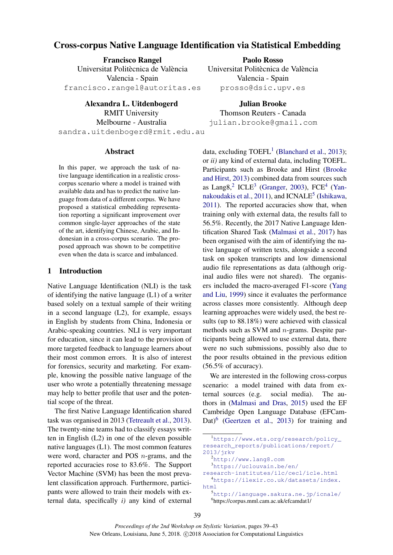# Cross-corpus Native Language Identification via Statistical Embedding

Francisco Rangel Universitat Politècnica de València Valencia - Spain francisco.rangel@autoritas.es

Alexandra L. Uitdenbogerd RMIT University Melbourne - Australia sandra.uitdenbogerd@rmit.edu.au

Paolo Rosso Universitat Politècnica de València Valencia - Spain prosso@dsic.upv.es

Julian Brooke Thomson Reuters - Canada julian.brooke@gmail.com

### **Abstract**

In this paper, we approach the task of native language identification in a realistic crosscorpus scenario where a model is trained with available data and has to predict the native language from data of a different corpus. We have proposed a statistical embedding representation reporting a significant improvement over common single-layer approaches of the state of the art, identifying Chinese, Arabic, and Indonesian in a cross-corpus scenario. The proposed approach was shown to be competitive even when the data is scarce and imbalanced.

## 1 Introduction

Native Language Identification (NLI) is the task of identifying the native language (L1) of a writer based solely on a textual sample of their writing in a second language (L2), for example, essays in English by students from China, Indonesia or Arabic-speaking countries. NLI is very important for education, since it can lead to the provision of more targeted feedback to language learners about their most common errors. It is also of interest for forensics, security and marketing. For example, knowing the possible native language of the user who wrote a potentially threatening message may help to better profile that user and the potential scope of the threat.

The first Native Language Identification shared task was organised in 2013 (Tetreault et al., 2013). The twenty-nine teams had to classify essays written in English (L2) in one of the eleven possible native languages (L1). The most common features were word, character and POS n-grams, and the reported accuracies rose to 83.6%. The Support Vector Machine (SVM) has been the most prevalent classification approach. Furthermore, participants were allowed to train their models with external data, specifically *i)* any kind of external

data, excluding  $TOEFL<sup>1</sup>$  (Blanchard et al., 2013); or *ii)* any kind of external data, including TOEFL. Participants such as Brooke and Hirst (Brooke and Hirst, 2013) combined data from sources such as Lang $8<sup>2</sup>$  ICLE<sup>3</sup> (Granger, 2003), FCE<sup>4</sup> (Yannakoudakis et al., 2011), and  $ICNALE<sup>5</sup>$  (Ishikawa, 2011). The reported accuracies show that, when training only with external data, the results fall to 56.5%. Recently, the 2017 Native Language Identification Shared Task (Malmasi et al., 2017) has been organised with the aim of identifying the native language of written texts, alongside a second task on spoken transcripts and low dimensional audio file representations as data (although original audio files were not shared). The organisers included the macro-averaged F1-score (Yang and Liu, 1999) since it evaluates the performance across classes more consistently. Although deep learning approaches were widely used, the best results (up to 88.18%) were achieved with classical methods such as SVM and n-grams. Despite participants being allowed to use external data, there were no such submissions, possibly also due to the poor results obtained in the previous edition  $(56.5\% \text{ of accuracy}).$ 

We are interested in the following cross-corpus scenario: a model trained with data from external sources (e.g. social media). The authors in (Malmasi and Dras, 2015) used the EF Cambridge Open Language Database (EFCam-Dat)<sup>6</sup> (Geertzen et al., 2013) for training and

6 https://corpus.mml.cam.ac.uk/efcamdat1/

<sup>1</sup>https://www.ets.org/research/policy\_ research\_reports/publications/report/ 2013/jrkv <sup>2</sup>http://www.lang8.com <sup>3</sup>https://uclouvain.be/en/ research-institutes/ilc/cecl/icle.html <sup>4</sup>https://ilexir.co.uk/datasets/index. html <sup>5</sup>http://language.sakura.ne.jp/icnale/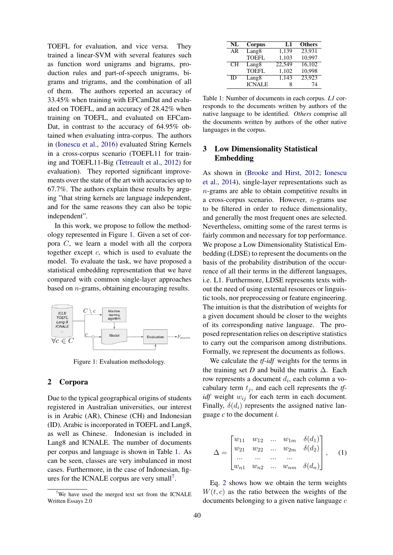TOEFL for evaluation, and vice versa. They trained a linear-SVM with several features such as function word unigrams and bigrams, production rules and part-of-speech unigrams, bigrams and trigrams, and the combination of all of them. The authors reported an accuracy of 33.45% when training with EFCamDat and evaluated on TOEFL, and an accuracy of 28.42% when training on TOEFL, and evaluated on EFCam-Dat, in contrast to the accuracy of 64.95% obtained when evaluating intra-corpus. The authors in (Ionescu et al., 2016) evaluated String Kernels in a cross-corpus scenario (TOEFL11 for training and TOEFL11-Big (Tetreault et al., 2012) for evaluation). They reported significant improvements over the state of the art with accuracies up to 67.7%. The authors explain these results by arguing "that string kernels are language independent, and for the same reasons they can also be topic independent".

In this work, we propose to follow the methodology represented in Figure 1. Given a set of corpora C, we learn a model with all the corpora together except  $c$ , which is used to evaluate the model. To evaluate the task, we have proposed a statistical embedding representation that we have compared with common single-layer approaches based on n-grams, obtaining encouraging results.



Figure 1: Evaluation methodology.

### 2 Corpora

Due to the typical geographical origins of students registered in Australian universities, our interest is in Arabic (AR), Chinese (CH) and Indonesian (ID). Arabic is incorporated in TOEFL and Lang8, as well as Chinese. Indonesian is included in Lang8 and ICNALE. The number of documents per corpus and language is shown in Table 1. As can be seen, classes are very imbalanced in most cases. Furthermore, in the case of Indonesian, figures for the ICNALE corpus are very small<sup>7</sup>.

| NL | Corpus            | L1     | <b>Others</b> |
|----|-------------------|--------|---------------|
| AR | Lang <sub>8</sub> | 1,139  | 23,931        |
|    | <b>TOEFL</b>      | 1,103  | 10,997        |
| CН | Lang <sub>8</sub> | 22,549 | 16,102        |
|    | <b>TOEFL</b>      | 1,102  | 10,998        |
| ID | Lang <sub>8</sub> | 1,143  | 23,923        |
|    | <b>ICNALE</b>     | 8      | 74            |

Table 1: Number of documents in each corpus. *L1* corresponds to the documents written by authors of the native language to be identified. *Others* comprise all the documents written by authors of the other native languages in the corpus.

### 3 Low Dimensionality Statistical Embedding

As shown in (Brooke and Hirst, 2012; Ionescu et al., 2014), single-layer representations such as  $n$ -grams are able to obtain competitive results in a cross-corpus scenario. However,  $n$ -grams use to be filtered in order to reduce dimensionality, and generally the most frequent ones are selected. Nevertheless, omitting some of the rarest terms is fairly common and necessary for top performance. We propose a Low Dimensionality Statistical Embedding (LDSE) to represent the documents on the basis of the probability distribution of the occurrence of all their terms in the different languages, i.e. L1. Furthermore, LDSE represents texts without the need of using external resources or linguistic tools, nor preprocessing or feature engineering. The intuition is that the distribution of weights for a given document should be closer to the weights of its corresponding native language. The proposed representation relies on descriptive statistics to carry out the comparison among distributions. Formally, we represent the documents as follows.

We calculate the *tf-idf* weights for the terms in the training set *D* and build the matrix  $\Delta$ . Each row represents a document  $d_i$ , each column a vocabulary term  $t_i$ , and each cell represents the  $tf$ *idf* weight  $w_{ij}$  for each term in each document. Finally,  $\delta(d_i)$  represents the assigned native language *c* to the document *i*.

$$
\Delta = \begin{bmatrix} w_{11} & w_{12} & \dots & w_{1m} & \delta(d_1) \\ w_{21} & w_{22} & \dots & w_{2m} & \delta(d_2) \\ \dots & \dots & \dots & \dots \\ w_{n1} & w_{n2} & \dots & w_{nm} & \delta(d_n) \end{bmatrix}, \quad (1)
$$

Eq. 2 shows how we obtain the term weights  $W(t, c)$  as the ratio between the weights of the documents belonging to a given native language  $c$ 

 $7$ We have used the merged text set from the ICNALE Written Essays 2.0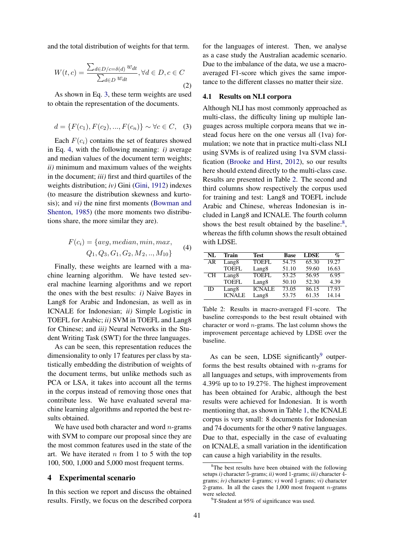and the total distribution of weights for that term.

$$
W(t, c) = \frac{\sum_{d \in D/c = \delta(d)} w_{dt}}{\sum_{d \in D} w_{dt}}, \forall d \in D, c \in C
$$
\n(2)

As shown in Eq. 3, these term weights are used to obtain the representation of the documents.

$$
d = \{F(c_1), F(c_2), ..., F(c_n)\} \sim \forall c \in C, \quad (3)
$$

Each  $F(c_i)$  contains the set of features showed in Eq. 4, with the following meaning: *i)* average and median values of the document term weights; *ii)* minimum and maximum values of the weights in the document; *iii)* first and third quartiles of the weights distribution; *iv)* Gini (Gini, 1912) indexes (to measure the distribution skewness and kurtosis); and *vi)* the nine first moments (Bowman and Shenton, 1985) (the more moments two distributions share, the more similar they are).

$$
F(c_i) = \{avg, median, min, max, Q_1, Q_3, G_1, G_2, M_2, ..., M_{10}\}\
$$
 (4)

Finally, these weights are learned with a machine learning algorithm. We have tested several machine learning algorithms and we report the ones with the best results: *i)* Naive Bayes in Lang8 for Arabic and Indonesian, as well as in ICNALE for Indonesian; *ii)* Simple Logistic in TOEFL for Arabic; *ii)* SVM in TOEFL and Lang8 for Chinese; and *iii)* Neural Networks in the Student Writing Task (SWT) for the three languages.

As can be seen, this representation reduces the dimensionality to only 17 features per class by statistically embedding the distribution of weights of the document terms, but unlike methods such as PCA or LSA, it takes into account all the terms in the corpus instead of removing those ones that contribute less. We have evaluated several machine learning algorithms and reported the best results obtained.

We have used both character and word  $n$ -grams with SVM to compare our proposal since they are the most common features used in the state of the art. We have iterated  $n$  from 1 to 5 with the top 100, 500, 1,000 and 5,000 most frequent terms.

#### 4 Experimental scenario

In this section we report and discuss the obtained results. Firstly, we focus on the described corpora

for the languages of interest. Then, we analyse as a case study the Australian academic scenario. Due to the imbalance of the data, we use a macroaveraged F1-score which gives the same importance to the different classes no matter their size.

### 4.1 Results on NLI corpora

Although NLI has most commonly approached as multi-class, the difficulty lining up multiple languages across multiple corpora means that we instead focus here on the one versus all (1va) formulation; we note that in practice multi-class NLI using SVMs is of realized using 1va SVM classification (Brooke and Hirst, 2012), so our results here should extend directly to the multi-class case. Results are presented in Table 2. The second and third columns show respectively the corpus used for training and test: Lang8 and TOEFL include Arabic and Chinese, whereas Indonesian is included in Lang8 and ICNALE. The fourth column shows the best result obtained by the baseline:<sup>8</sup>, whereas the fifth column shows the result obtained with LDSE.

| NL | Train             | Test              | <b>Base</b> | <b>LDSE</b> | $\mathcal{O}_0$ |
|----|-------------------|-------------------|-------------|-------------|-----------------|
| AR | Lang8             | <b>TOEFL</b>      | 54.75       | 65.30       | 19.27           |
|    | <b>TOEFL</b>      | Lang <sub>8</sub> | 51.10       | 59.60       | 16.63           |
| CН | Lang8             | TOEFL             | 53.25       | 56.95       | 6.95            |
|    | <b>TOEFL</b>      | Lang8             | 50.10       | 52.30       | 4.39            |
| ID | Lang <sub>8</sub> | <b>ICNALE</b>     | 73.05       | 86.15       | 17.93           |
|    | <b>ICNALE</b>     | Lang8             | 53.75       | 61.35       | 14.14           |

Table 2: Results in macro-averaged F1-score. The baseline corresponds to the best result obtained with character or word  $n$ -grams. The last column shows the improvement percentage achieved by LDSE over the baseline.

As can be seen, LDSE significantly $9$  outperforms the best results obtained with  $n$ -grams for all languages and setups, with improvements from 4.39% up to to 19.27%. The highest improvement has been obtained for Arabic, although the best results were achieved for Indonesian. It is worth mentioning that, as shown in Table 1, the ICNALE corpus is very small: 8 documents for Indonesian and 74 documents for the other 9 native languages. Due to that, especially in the case of evaluating on ICNALE, a small variation in the identification can cause a high variability in the results.

<sup>&</sup>lt;sup>8</sup>The best results have been obtained with the following setups *i)* character 5-grams; *ii)* word 1-grams; *iii)* character 4 grams; *iv)* character 4-grams; *v)* word 1-grams; *vi)* character 2-grams. In all the cases the  $1,000$  most frequent *n*-grams were selected.

 $9T-$ Student at 95% of significance was used.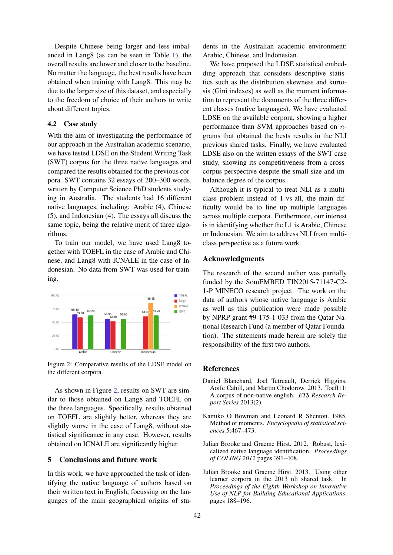Despite Chinese being larger and less imbalanced in Lang8 (as can be seen in Table 1), the overall results are lower and closer to the baseline. No matter the language, the best results have been obtained when training with Lang8. This may be due to the larger size of this dataset, and especially to the freedom of choice of their authors to write about different topics.

#### 4.2 Case study

With the aim of investigating the performance of our approach in the Australian academic scenario, we have tested LDSE on the Student Writing Task (SWT) corpus for the three native languages and compared the results obtained for the previous corpora. SWT contains 32 essays of 200–300 words, written by Computer Science PhD students studying in Australia. The students had 16 different native languages, including: Arabic (4), Chinese (5), and Indonesian (4). The essays all discuss the same topic, being the relative merit of three algorithms.

To train our model, we have used Lang8 together with TOEFL in the case of Arabic and Chinese, and Lang8 with ICNALE in the case of Indonesian. No data from SWT was used for training.



Figure 2: Comparative results of the LDSE model on the different corpora.

As shown in Figure 2, results on SWT are similar to those obtained on Lang8 and TOEFL on the three languages. Specifically, results obtained on TOEFL are slightly better, whereas they are slightly worse in the case of Lang8, without statistical significance in any case. However, results obtained on ICNALE are significantly higher.

### 5 Conclusions and future work

In this work, we have approached the task of identifying the native language of authors based on their written text in English, focussing on the languages of the main geographical origins of students in the Australian academic environment: Arabic, Chinese, and Indonesian.

We have proposed the LDSE statistical embedding approach that considers descriptive statistics such as the distribution skewness and kurtosis (Gini indexes) as well as the moment information to represent the documents of the three different classes (native languages). We have evaluated LDSE on the available corpora, showing a higher performance than SVM approaches based on ngrams that obtained the bests results in the NLI previous shared tasks. Finally, we have evaluated LDSE also on the written essays of the SWT case study, showing its competitiveness from a crosscorpus perspective despite the small size and imbalance degree of the corpus.

Although it is typical to treat NLI as a multiclass problem instead of 1-vs-all, the main difficulty would be to line up multiple languages across multiple corpora. Furthermore, our interest is in identifying whether the L1 is Arabic, Chinese or Indonesian. We aim to address NLI from multiclass perspective as a future work.

### Acknowledgments

The research of the second author was partially funded by the SomEMBED TIN2015-71147-C2- 1-P MINECO research project. The work on the data of authors whose native language is Arabic as well as this publication were made possible by NPRP grant #9-175-1-033 from the Qatar National Research Fund (a member of Qatar Foundation). The statements made herein are solely the responsibility of the first two authors.

#### References

- Daniel Blanchard, Joel Tetreault, Derrick Higgins, Aoife Cahill, and Martin Chodorow. 2013. Toefl11: A corpus of non-native english. *ETS Research Report Series* 2013(2).
- Kamiko O Bowman and Leonard R Shenton. 1985. Method of moments. *Encyclopedia of statistical sciences* 5:467–473.
- Julian Brooke and Graeme Hirst. 2012. Robust, lexicalized native language identification. *Proceedings of COLING 2012* pages 391–408.
- Julian Brooke and Graeme Hirst. 2013. Using other learner corpora in the 2013 nli shared task. In *Proceedings of the Eighth Workshop on Innovative Use of NLP for Building Educational Applications*. pages 188–196.